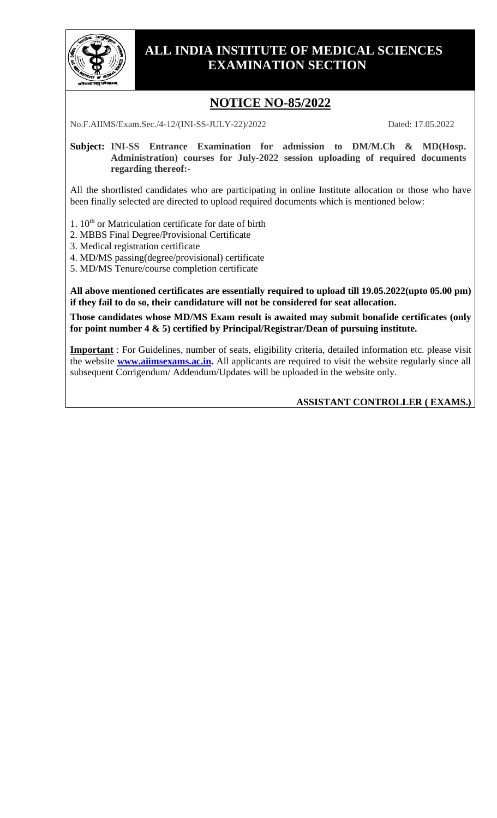

## **ALL INDIA INSTITUTE OF MEDICAL SCIENCES EXAMINATION SECTION**

# **NOTICE NO-85/2022**

No.F.AIIMS/Exam.Sec./4-12/(INI-SS-JULY-22)/2022 Dated: 17.05.2022

**Subject: INI-SS Entrance Examination for admission to DM/M.Ch & MD(Hosp. Administration) courses for July-2022 session uploading of required documents regarding thereof:-**

All the shortlisted candidates who are participating in online Institute allocation or those who have been finally selected are directed to upload required documents which is mentioned below:

1.  $10<sup>th</sup>$  or Matriculation certificate for date of birth

2. MBBS Final Degree/Provisional Certificate

3. Medical registration certificate

4. MD/MS passing(degree/provisional) certificate

5. MD/MS Tenure/course completion certificate

**All above mentioned certificates are essentially required to upload till 19.05.2022(upto 05.00 pm) if they fail to do so, their candidature will not be considered for seat allocation.**

**Those candidates whose MD/MS Exam result is awaited may submit bonafide certificates (only for point number 4 & 5) certified by Principal/Registrar/Dean of pursuing institute.**

**Important** : For Guidelines, number of seats, eligibility criteria, detailed information etc. please visit the website **[www.aiimsexams.ac.in.](http://www.aiimsexams.ac.in/)** All applicants are required to visit the website regularly since all subsequent Corrigendum/ Addendum/Updates will be uploaded in the website only.

#### **ASSISTANT CONTROLLER ( EXAMS.)**